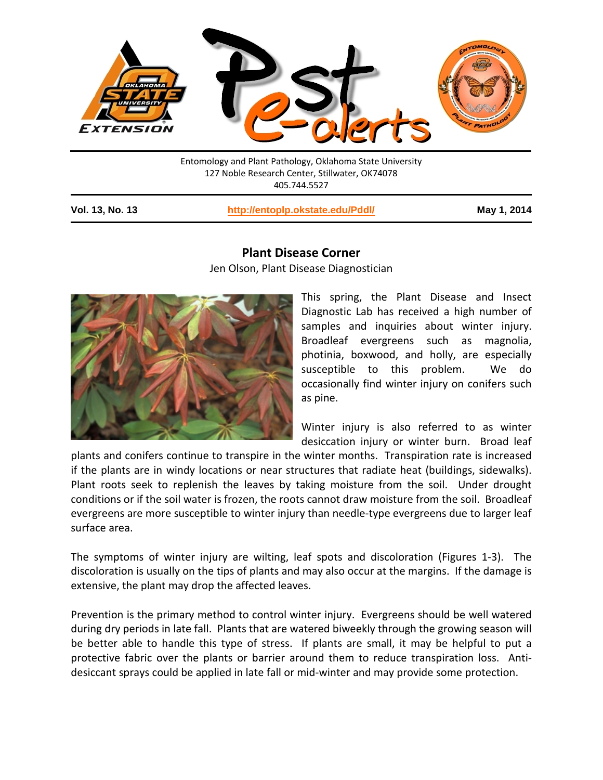

127 Noble Research Center, Stillwater, OK74078 405.744.5527

**Vol. 13, No. 13 <http://entoplp.okstate.edu/Pddl/> May 1, 2014**

## **Plant Disease Corner**

Jen Olson, Plant Disease Diagnostician



This spring, the Plant Disease and Insect Diagnostic Lab has received a high number of samples and inquiries about winter injury. Broadleaf evergreens such as magnolia, photinia, boxwood, and holly, are especially susceptible to this problem. We do occasionally find winter injury on conifers such as pine.

Winter injury is also referred to as winter desiccation injury or winter burn. Broad leaf

plants and conifers continue to transpire in the winter months. Transpiration rate is increased if the plants are in windy locations or near structures that radiate heat (buildings, sidewalks). Plant roots seek to replenish the leaves by taking moisture from the soil. Under drought conditions or if the soil water is frozen, the roots cannot draw moisture from the soil. Broadleaf evergreens are more susceptible to winter injury than needle-type evergreens due to larger leaf surface area.

The symptoms of winter injury are wilting, leaf spots and discoloration (Figures 1-3). The discoloration is usually on the tips of plants and may also occur at the margins. If the damage is extensive, the plant may drop the affected leaves.

Prevention is the primary method to control winter injury. Evergreens should be well watered during dry periods in late fall. Plants that are watered biweekly through the growing season will be better able to handle this type of stress. If plants are small, it may be helpful to put a protective fabric over the plants or barrier around them to reduce transpiration loss. Antidesiccant sprays could be applied in late fall or mid-winter and may provide some protection.